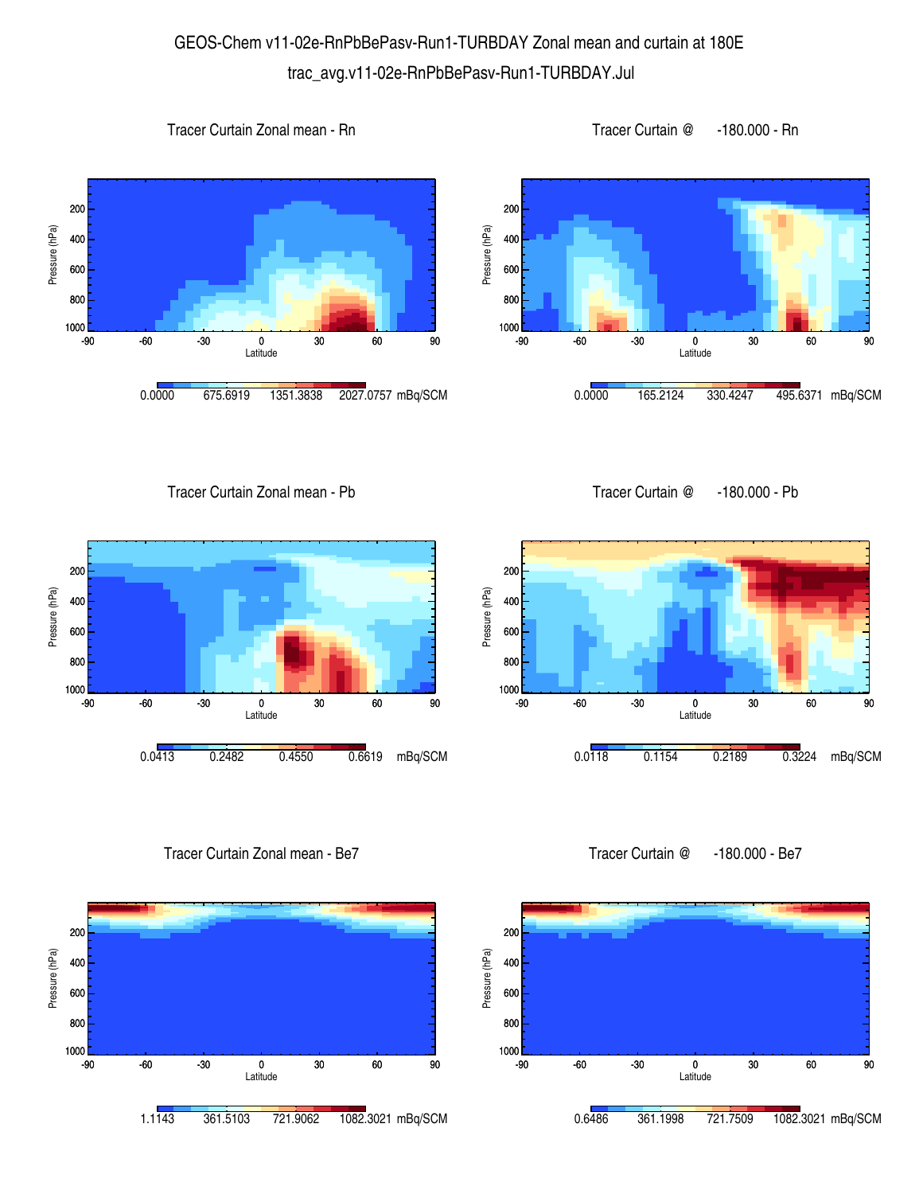## GEOS-Chem v11-02e-RnPbBePasv-Run1-TURBDAY Zonal mean and curtain at 180E trac\_avg.v11-02e-RnPbBePasv-Run1-TURBDAY.Jul









Tracer Curtain Zonal mean - Pb





Tracer Curtain Zonal mean - Be7